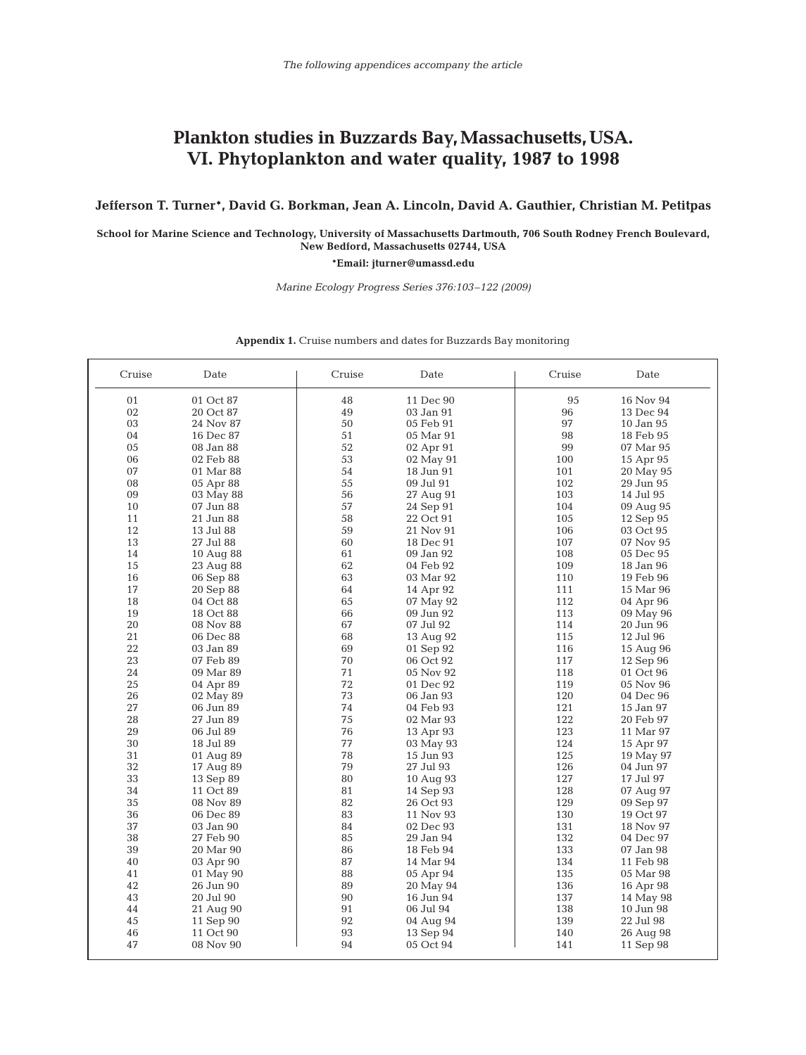## Plankton studies in Buzzards Bay, Massachusetts, USA. **VI. Phytoplankton and water quality, 1987 to 1998**

**Jefferson T. Turner\*, David G. Borkman, Jean A. Lincoln, David A. Gauthier, Christian M. Petitpas**

**School for Marine Science and Technology, University of Massachusetts Dartmouth, 706 South Rodney French Boulevard, New Bedford, Massachusetts 02744, USA**

**\*Email: jturner@umassd.edu**

*Marine Ecology Progress Series 376:103–122 (2009)*

| Cruise | Date      | Cruise | Date      | Cruise | Date                   |
|--------|-----------|--------|-----------|--------|------------------------|
| 01     | 01 Oct 87 | 48     | 11 Dec 90 | 95     | 16 Nov 94              |
| 02     | 20 Oct 87 | 49     | 03 Jan 91 | 96     | 13 Dec 94              |
| 03     | 24 Nov 87 | 50     | 05 Feb 91 | 97     | 10 Jan 95              |
| 04     | 16 Dec 87 | 51     | 05 Mar 91 | 98     | 18 Feb 95              |
| 05     | 08 Jan 88 | 52     | 02 Apr 91 | 99     | 07 Mar 95              |
| 06     | 02 Feb 88 | 53     | 02 May 91 | 100    | 15 Apr 95              |
| 07     | 01 Mar 88 | 54     | 18 Jun 91 | 101    | 20 May 95              |
| 08     | 05 Apr 88 | 55     | 09 Jul 91 | 102    | 29 Jun 95              |
| 09     | 03 May 88 | 56     | 27 Aug 91 | 103    | 14 Jul 95              |
| 10     | 07 Jun 88 | 57     | 24 Sep 91 | 104    | 09 Aug 95              |
| 11     | 21 Jun 88 | 58     | 22 Oct 91 | 105    | 12 Sep 95              |
| 12     | 13 Jul 88 | 59     | 21 Nov 91 | 106    | 03 Oct 95              |
| 13     | 27 Jul 88 | 60     | 18 Dec 91 | 107    | 07 Nov 95              |
| 14     | 10 Aug 88 | 61     | 09 Jan 92 | 108    | 05 Dec 95              |
| 15     | 23 Aug 88 | 62     | 04 Feb 92 | 109    | 18 Jan 96              |
| 16     | 06 Sep 88 | 63     | 03 Mar 92 | 110    | 19 Feb 96              |
| 17     | 20 Sep 88 | 64     | 14 Apr 92 | 111    | 15 Mar 96              |
| 18     | 04 Oct 88 | 65     | 07 May 92 | 112    | 04 Apr 96              |
| 19     | 18 Oct 88 | 66     | 09 Jun 92 | 113    | 09 May 96              |
| 20     | 08 Nov 88 | 67     | 07 Jul 92 | 114    | 20 Jun 96              |
| 21     | 06 Dec 88 | 68     | 13 Aug 92 | 115    | 12 Jul 96              |
| 22     | 03 Jan 89 | 69     | 01 Sep 92 | 116    | 15 Aug 96              |
| 23     | 07 Feb 89 | 70     | 06 Oct 92 | 117    | 12 Sep 96              |
| 24     | 09 Mar 89 | 71     | 05 Nov 92 | 118    | 01 Oct 96              |
| 25     | 04 Apr 89 | 72     | 01 Dec 92 | 119    | 05 Nov 96              |
| 26     | 02 May 89 | 73     | 06 Jan 93 | 120    | 04 Dec 96              |
| 27     | 06 Jun 89 | 74     | 04 Feb 93 | 121    | 15 Jan 97              |
| 28     | 27 Jun 89 | 75     | 02 Mar 93 | 122    | 20 Feb 97              |
| 29     | 06 Jul 89 | 76     | 13 Apr 93 | 123    | 11 Mar 97              |
| 30     | 18 Jul 89 | 77     | 03 May 93 | 124    | 15 Apr 97              |
| 31     | 01 Aug 89 | 78     | 15 Jun 93 | 125    | 19 May 97              |
| 32     | 17 Aug 89 | 79     | 27 Jul 93 | 126    | 04 Jun 97              |
| 33     | 13 Sep 89 | 80     | 10 Aug 93 | 127    | 17 Jul 97              |
| 34     | 11 Oct 89 | 81     | 14 Sep 93 | 128    | 07 Aug 97              |
| 35     | 08 Nov 89 | 82     | 26 Oct 93 | 129    | 09 Sep 97              |
| 36     | 06 Dec 89 | 83     | 11 Nov 93 | 130    | 19 Oct 97              |
| 37     | 03 Jan 90 | 84     | 02 Dec 93 | 131    | 18 Nov 97              |
| 38     | 27 Feb 90 | 85     | 29 Jan 94 | 132    | 04 Dec 97              |
| 39     | 20 Mar 90 | 86     | 18 Feb 94 | 133    | 07 Jan 98              |
| 40     |           | 87     |           | 134    |                        |
| 41     | 03 Apr 90 | 88     | 14 Mar 94 | 135    | 11 Feb 98<br>05 Mar 98 |
| 42     | 01 May 90 | 89     | 05 Apr 94 |        |                        |
|        | 26 Jun 90 |        | 20 May 94 | 136    | 16 Apr 98              |
| 43     | 20 Jul 90 | 90     | 16 Jun 94 | 137    | 14 May 98              |
| 44     | 21 Aug 90 | 91     | 06 Jul 94 | 138    | 10 Jun 98              |
| 45     | 11 Sep 90 | 92     | 04 Aug 94 | 139    | 22 Jul 98              |
| 46     | 11 Oct 90 | 93     | 13 Sep 94 | 140    | 26 Aug 98              |
| 47     | 08 Nov 90 | 94     | 05 Oct 94 | 141    | 11 Sep 98              |

## **Appendix 1.** Cruise numbers and dates for Buzzards Bay monitoring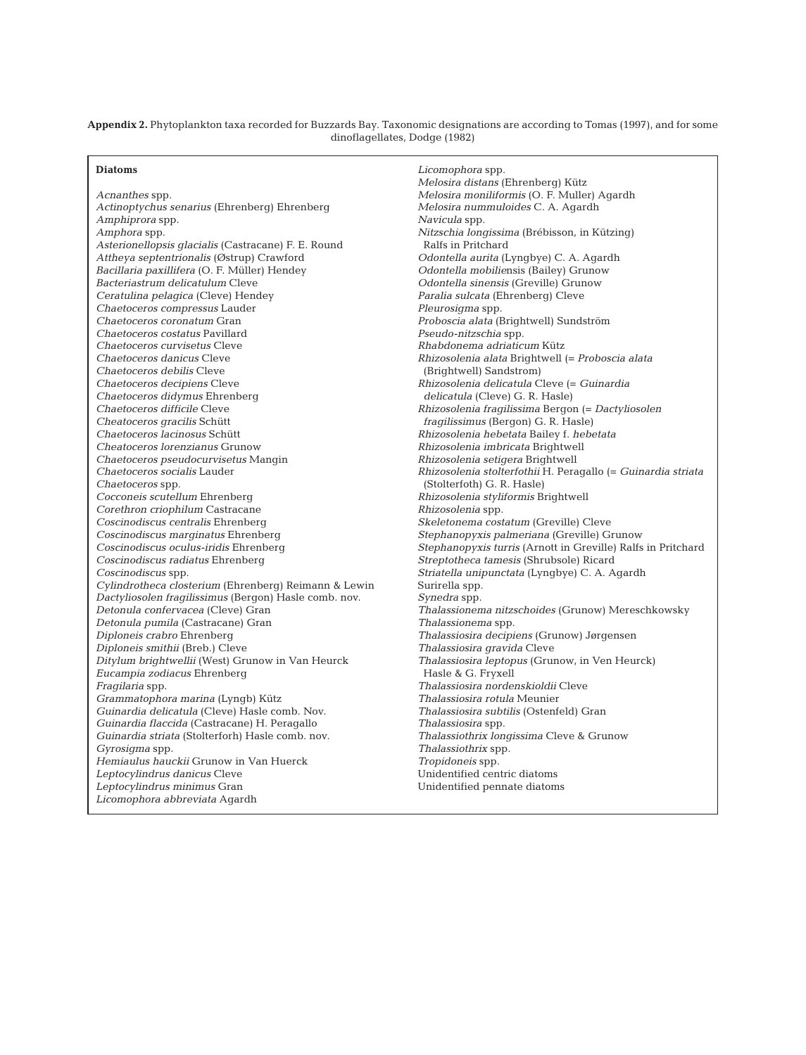**Appendix 2.** Phytoplankton taxa recorded for Buzzards Bay. Taxonomic designations are according to Tomas (1997), and for some dinoflagellates, Dodge (1982)

## **Diatoms**

*Acnanthes* spp. *Actinoptychus senarius* (Ehrenberg) Ehrenberg *Amphiprora* spp. *Amphora* spp. *Asterionellopsis glacialis* (Castracane) F. E. Round *Attheya septentrionalis* (Østrup) Crawford *Bacillaria paxillifera* (O. F. Müller) Hendey *Bacteriastrum delicatulum* Cleve *Ceratulina pelagica* (Cleve) Hendey *Chaetoceros compressus* Lauder *Chaetoceros coronatum* Gran *Chaetoceros costatus* Pavillard *Chaetoceros curvisetus* Cleve *Chaetoceros danicus* Cleve *Chaetoceros debilis* Cleve *Chaetoceros decipiens* Cleve *Chaetoceros didymus* Ehrenberg *Chaetoceros difficile* Cleve *Cheatoceros gracilis* Schütt *Chaetoceros lacinosus* Schütt *Cheatoceros lorenzianus* Grunow *Chaetoceros pseudocurvisetus* Mangin *Chaetoceros socialis* Lauder *Chaetoceros* spp. *Cocconeis scutellum* Ehrenberg *Corethron criophilum* Castracane *Coscinodiscus centralis* Ehrenberg *Coscinodiscus marginatus* Ehrenberg *Coscinodiscus oculus-iridis* Ehrenberg *Coscinodiscus radiatus* Ehrenberg *Coscinodiscus* spp. *Cylindrotheca closterium* (Ehrenberg) Reimann & Lewin *Dactyliosolen fragilissimus* (Bergon) Hasle comb. nov. *Detonula confervacea* (Cleve) Gran *Detonula pumila* (Castracane) Gran *Diploneis crabro* Ehrenberg *Diploneis smithii* (Breb.) Cleve *Ditylum brightwellii* (West) Grunow in Van Heurck *Eucampia zodiacus* Ehrenberg *Fragilaria* spp. *Grammatophora marina* (Lyngb) Kütz *Guinardia delicatula* (Cleve) Hasle comb. Nov. *Guinardia flaccida* (Castracane) H. Peragallo *Guinardia striata* (Stolterforh) Hasle comb. nov. *Gyrosigma* spp. *Hemiaulus hauckii* Grunow in Van Huerck *Leptocylindrus danicus* Cleve *Leptocylindrus minimus* Gran *Licomophora abbreviata* Agardh

*Licomophora* spp. *Melosira distans* (Ehrenberg) Kütz *Melosira moniliformis* (O. F. Muller) Agardh *Melosira nummuloides* C. A. Agardh *Navicula* spp. *Nitzschia longissima* (Brébisson, in Kützing) Ralfs in Pritchard *Odontella aurita* (Lyngbye) C. A. Agardh *Odontella mobilie*nsis (Bailey) Grunow *Odontella sinensis* (Greville) Grunow *Paralia sulcata* (Ehrenberg) Cleve *Pleurosigma* spp. *Proboscia alata* (Brightwell) Sundström *Pseudo-nitzschia* spp. *Rhabdonema adriaticum* Kütz *Rhizosolenia alata* Brightwell (= *Proboscia alata*  (Brightwell) Sandstrom) *Rhizosolenia delicatula* Cleve (= *Guinardia delicatula* (Cleve) G. R. Hasle) *Rhizosolenia fragilissima* Bergon (= *Dactyliosolen fragilissimus* (Bergon) G. R. Hasle) *Rhizosolenia hebetata* Bailey f. *hebetata Rhizosolenia imbricata* Brightwell *Rhizosolenia setigera* Brightwell *Rhizosolenia stolterfothii* H. Peragallo (= *Guinardia striata*  (Stolterfoth) G. R. Hasle) *Rhizosolenia styliformis* Brightwell *Rhizosolenia* spp. *Skeletonema costatum* (Greville) Cleve *Stephanopyxis palmeriana* (Greville) Grunow *Stephanopyxis turris* (Arnott in Greville) Ralfs in Pritchard *Streptotheca tamesis* (Shrubsole) Ricard *Striatella unipunctata* (Lyngbye) C. A. Agardh Surirella spp. *Synedra* spp. *Thalassionema nitzschoides* (Grunow) Mereschkowsky *Thalassionema* spp. *Thalassiosira decipiens* (Grunow) Jørgensen *Thalassiosira gravida* Cleve *Thalassiosira leptopus* (Grunow, in Ven Heurck) Hasle & G. Fryxell *Thalassiosira nordenskioldii* Cleve *Thalassiosira rotula* Meunier *Thalassiosira subtilis* (Ostenfeld) Gran *Thalassiosira* spp. *Thalassiothrix longissima* Cleve & Grunow *Thalassiothrix* spp. *Tropidoneis* spp. Unidentified centric diatoms Unidentified pennate diatoms